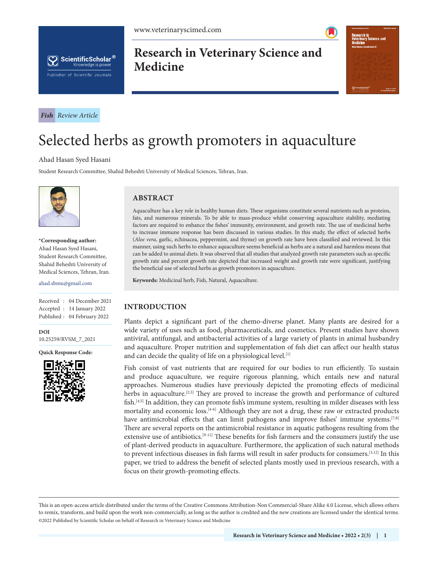



*Fish Review Article*

# **Research in Veterinary Science and Medicine**



# Selected herbs as growth promoters in aquaculture

#### Ahad Hasan Syed Hasani

Student Research Committee, Shahid Beheshti University of Medical Sciences, Tehran, Iran.



**\*Corresponding author:** Ahad Hasan Syed Hasani, Student Research Committee, Shahid Beheshti University of Medical Sciences, Tehran, Iran.

#### ahad.sbmu@gmail.com

Received : 04 December 2021 Accepted : 14 January 2022 Published : 04 February 2022

**DOI** [10.25259/RVSM\\_7\\_2021](https://dx.doi.org/10.25259/RVSM_7_2021)

**Quick Response Code:**



## **ABSTRACT**

Aquaculture has a key role in healthy human diets. These organisms constitute several nutrients such as proteins, fats, and numerous minerals. To be able to mass-produce whilst conserving aquaculture stability, mediating factors are required to enhance the fishes' immunity, environment, and growth rate. The use of medicinal herbs to increase immune response has been discussed in various studies. In this study, the effect of selected herbs (*Aloe vera*, garlic, echinacea, peppermint, and thyme) on growth rate have been classified and reviewed. In this manner, using such herbs to enhance aquaculture seems beneficial as herbs are a natural and harmless means that can be added to animal diets. It was observed that all studies that analyzed growth rate parameters such as specific growth rate and percent growth rate depicted that increased weight and growth rate were significant, justifying the beneficial use of selected herbs as growth promotors in aquaculture.

**Keywords:** Medicinal herb, Fish, Natural, Aquaculture.

# **INTRODUCTION**

Plants depict a significant part of the chemo-diverse planet. Many plants are desired for a wide variety of uses such as food, pharmaceuticals, and cosmetics. Present studies have shown antiviral, antifungal, and antibacterial activities of a large variety of plants in animal husbandry and aquaculture. Proper nutrition and supplementation of fish diet can affect our health status and can decide the quality of life on a physiological level.<sup>[1]</sup>

Fish consist of vast nutrients that are required for our bodies to run efficiently. To sustain and produce aquaculture, we require rigorous planning, which entails new and natural approaches. Numerous studies have previously depicted the promoting effects of medicinal herbs in aquaculture.<sup>[2,3]</sup> They are proved to increase the growth and performance of cultured fish.<sup>[4,5]</sup> In addition, they can promote fish's immune system, resulting in milder diseases with less mortality and economic loss. $[4-6]$  Although they are not a drug, these raw or extracted products have antimicrobial effects that can limit pathogens and improve fishes' immune systems.<sup>[7,8]</sup> There are several reports on the antimicrobial resistance in aquatic pathogens resulting from the extensive use of antibiotics.<sup>[9-11]</sup> These benefits for fish farmers and the consumers justify the use of plant-derived products in aquaculture. Furthermore, the application of such natural methods to prevent infectious diseases in fish farms will result in safer products for consumers.[3,12] In this paper, we tried to address the benefit of selected plants mostly used in previous research, with a focus on their growth-promoting effects.

is is an open-access article distributed under the terms of the Creative Commons Attribution-Non Commercial-Share Alike 4.0 License, which allows others to remix, transform, and build upon the work non-commercially, as long as the author is credited and the new creations are licensed under the identical terms. ©2022 Published by Scientific Scholar on behalf of Research in Veterinary Science and Medicine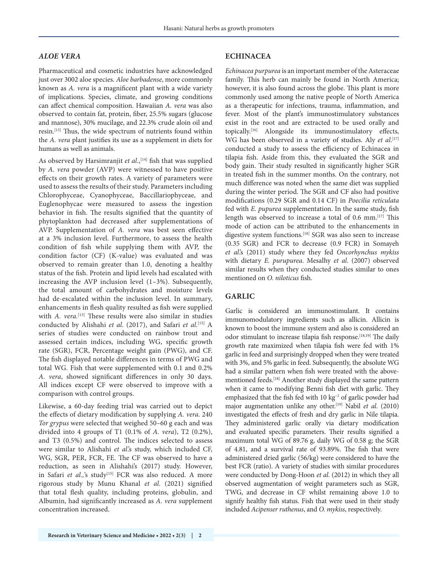#### *ALOE VERA*

Pharmaceutical and cosmetic industries have acknowledged just over 3002 aloe species. *Aloe barbadense*, more commonly known as *A. vera* is a magnificent plant with a wide variety of implications. Species, climate, and growing conditions can affect chemical composition. Hawaiian *A. vera* was also observed to contain fat, protein, fiber, 25.5% sugars (glucose and mannose), 30% mucilage, and 22.3% crude aloin oil and resin.<sup>[13]</sup> Thus, the wide spectrum of nutrients found within the *A. vera* plant justifies its use as a supplement in diets for humans as well as animals.

As observed by Harsimranjit et al.,<sup>[14]</sup> fish that was supplied by *A. vera* powder (AVP) were witnessed to have positive effects on their growth rates. A variety of parameters were used to assess the results of their study. Parameters including Chlorophyceae, Cyanophyceae, Baccillariophyceae, and Euglenophycae were measured to assess the ingestion behavior in fish. The results signified that the quantity of phytoplankton had decreased after supplementations of AVP. Supplementation of *A. vera* was best seen effective at a 3% inclusion level. Furthermore, to assess the health condition of fish while supplying them with AVP, the condition factor (CF) (K-value) was evaluated and was observed to remain greater than 1.0, denoting a healthy status of the fish. Protein and lipid levels had escalated with increasing the AVP inclusion level (1–3%). Subsequently, the total amount of carbohydrates and moisture levels had de-escalated within the inclusion level. In summary, enhancements in flesh quality resulted as fish were supplied with *A. vera.*<sup>[13]</sup> These results were also similar in studies conducted by Alishahi *et al*. (2017), and Safari *et al*. [15] A series of studies were conducted on rainbow trout and assessed certain indices, including WG, specific growth rate (SGR), FCR, Percentage weight gain (PWG), and CF. The fish displayed notable differences in terms of PWG and total WG. Fish that were supplemented with 0.1 and 0.2% *A. vera*, showed significant differences in only 30 days. All indices except CF were observed to improve with a comparison with control groups.

Likewise, a 60-day feeding trial was carried out to depict the effects of dietary modification by supplying *A. vera*. 240 *Tor grypus* were selected that weighed 50–60 g each and was divided into 4 groups of T1 (0.1% of *A. vera*), T2 (0.2%), and T3 (0.5%) and control. The indices selected to assess were similar to Alishahi *et al*.'s study, which included CF, WG, SGR, PER, FCR, FE. The CF was observed to have a reduction, as seen in Alishahi's (2017) study. However, in Safari et al.,'s study<sup>[15]</sup> FCR was also reduced. A more rigorous study by Munu Khanal *et al*. (2021) signified that total flesh quality, including proteins, globulin, and Albumin, had significantly increased as *A. vera* supplement concentration increased.

#### **ECHINACEA**

*Echinacea purpurea* is an important member of the Asteraceae family. This herb can mainly be found in North America; however, it is also found across the globe. This plant is more commonly used among the native people of North America as a therapeutic for infections, trauma, inflammation, and fever. Most of the plant's immunostimulatory substances exist in the root and are extracted to be used orally and topically.[16] Alongside its immunostimulatory effects, WG has been observed in a variety of studies. Aly *et al*.<sup>[17]</sup> conducted a study to assess the efficiency of Echinacea in tilapia fish. Aside from this, they evaluated the SGR and body gain. Their study resulted in significantly higher SGR in treated fish in the summer months. On the contrary, not much difference was noted when the same diet was supplied during the winter period. The SGR and CF also had positive modifications (0.29 SGR and 0.14 CF) in *Poecilia reticulata* fed with *E. pupurea* supplementation. In the same study, fish length was observed to increase a total of 0.6 mm.<sup>[17]</sup> This mode of action can be attributed to the enhancements in digestive system functions.[18] SGR was also seen to increase (0.35 SGR) and FCR to decrease (0.9 FCR) in Somayeh *et al*.'s (2011) study where they fed *Oncorhynchus mykiss*  with dietary *E. purupurea*. Mesalhy *et al*. (2007) observed similar results when they conducted studies similar to ones mentioned on *O. niloticus* fish.

#### **GARLIC**

Garlic is considered an immunostimulant. It contains immunomodulatory ingredients such as allicin. Allicin is known to boost the immune system and also is considered an odor stimulant to increase tilapia fish response.<sup>[18,19]</sup> The daily growth rate maximized when tilapia fish were fed with 1% garlic in feed and surprisingly dropped when they were treated with 3%, and 5% garlic in feed. Subsequently, the absolute WG had a similar pattern when fish were treated with the abovementioned feeds.[18] Another study displayed the same pattern when it came to modifying Benni fish diet with garlic. They emphasized that the fish fed with 10 kg<sup>-1</sup> of garlic powder had major augmentation unlike any other.[19] Nabil *et al*. (2010) investigated the effects of fresh and dry garlic in Nile tilapia. They administered garlic orally via dietary modification and evaluated specific parameters. Their results signified a maximum total WG of 89.76 g, daily WG of 0.58 g; the SGR of 4.81, and a survival rate of 93.89%. The fish that were administered dried garlic (56/kg) were considered to have the best FCR (ratio). A variety of studies with similar procedures were conducted by Dong-Hoon *et al*. (2012) in which they all observed augmentation of weight parameters such as SGR, TWG, and decrease in CF whilst remaining above 1.0 to signify healthy fish status. Fish that were used in their study included *Acipenser ruthenus*, and *O. mykiss*, respectively.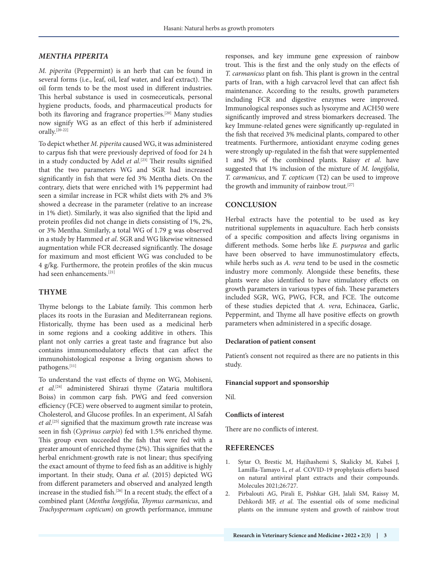#### *MENTHA PIPERITA*

*M. piperita* (Peppermint) is an herb that can be found in several forms (i.e., leaf, oil, leaf water, and leaf extract). The oil form tends to be the most used in different industries. This herbal substance is used in cosmeceuticals, personal hygiene products, foods, and pharmaceutical products for both its flavoring and fragrance properties.<sup>[20]</sup> Many studies now signify WG as an effect of this herb if administered orally.[20-22]

To depict whether *M. piperita* caused WG, it was administered to carpus fish that were previously deprived of food for 24 h in a study conducted by Adel *et al*. [23] Their results signified that the two parameters WG and SGR had increased significantly in fish that were fed 3% Mentha diets. On the contrary, diets that were enriched with 1% peppermint had seen a similar increase in FCR whilst diets with 2% and 3% showed a decrease in the parameter (relative to an increase in 1% diet). Similarly, it was also signified that the lipid and protein profiles did not change in diets consisting of 1%, 2%, or 3% Mentha. Similarly, a total WG of 1.79 g was observed in a study by Hammed *et al*. SGR and WG likewise witnessed augmentation while FCR decreased significantly. The dosage for maximum and most efficient WG was concluded to be 4 g/kg. Furthermore, the protein profiles of the skin mucus had seen enhancements.[21]

## **THYME**

Thyme belongs to the Labiate family. This common herb places its roots in the Eurasian and Mediterranean regions. Historically, thyme has been used as a medicinal herb in some regions and a cooking additive in others. This plant not only carries a great taste and fragrance but also contains immunomodulatory effects that can affect the immunohistological response a living organism shows to pathogens.[11]

To understand the vast effects of thyme on WG, Mohiseni, *et al*. [24] administered Shirazi thyme (Zataria multiflora Boiss) in common carp fish. PWG and feed conversion efficiency (FCE) were observed to augment similar to protein, Cholesterol, and Glucose profiles. In an experiment, Al Safah *et al*. [25] signified that the maximum growth rate increase was seen in fish (*Cyprinus carpio*) fed with 1.5% enriched thyme. This group even succeeded the fish that were fed with a greater amount of enriched thyme (2%). This signifies that the herbal enrichment-growth rate is not linear; thus specifying the exact amount of thyme to feed fish as an additive is highly important. In their study, Oana *et al*. (2015) depicted WG from different parameters and observed and analyzed length increase in the studied fish.<sup>[26]</sup> In a recent study, the effect of a combined plant (*Mentha longifolia*, *Thymus carmanicus*, and *Trachyspermum copticum*) on growth performance, immune

responses, and key immune gene expression of rainbow trout. This is the first and the only study on the effects of *T. carmanicus* plant on fish. This plant is grown in the central parts of Iran, with a high carvacrol level that can affect fish maintenance. According to the results, growth parameters including FCR and digestive enzymes were improved. Immunological responses such as lysozyme and ACH50 were significantly improved and stress biomarkers decreased. The key Immune-related genes were significantly up-regulated in the fish that received 3% medicinal plants, compared to other treatments. Furthermore, antioxidant enzyme coding genes were strongly up-regulated in the fish that were supplemented 1 and 3% of the combined plants. Raissy *et al*. have suggested that 1% inclusion of the mixture of *M. longifolia*, *T. carmanicus*, and *T. copticum* (T2) can be used to improve the growth and immunity of rainbow trout.<sup>[27]</sup>

# **CONCLUSION**

Herbal extracts have the potential to be used as key nutritional supplements in aquaculture. Each herb consists of a specific composition and affects living organisms in different methods. Some herbs like *E. purpurea* and garlic have been observed to have immunostimulatory effects, while herbs such as *A. vera* tend to be used in the cosmetic industry more commonly. Alongside these benefits, these plants were also identified to have stimulatory effects on growth parameters in various types of fish. These parameters included SGR, WG, PWG, FCR, and FCE. The outcome of these studies depicted that *A. vera*, Echinacea, Garlic, Peppermint, and Thyme all have positive effects on growth parameters when administered in a specific dosage.

#### **Declaration of patient consent**

Patient's consent not required as there are no patients in this study.

#### **Financial support and sponsorship**

Nil.

#### **Conflicts of interest**

There are no conflicts of interest.

#### **REFERENCES**

- 1. Sytar O, Brestic M, Hajihashemi S, Skalicky M, Kubeš J, Lamilla-Tamayo L, *et al*. COVID-19 prophylaxis efforts based on natural antiviral plant extracts and their compounds. Molecules 2021;26:727.
- 2. Pirbalouti AG, Pirali E, Pishkar GH, Jalali SM, Raissy M, Dehkordi MF, *et al*. The essential oils of some medicinal plants on the immune system and growth of rainbow trout